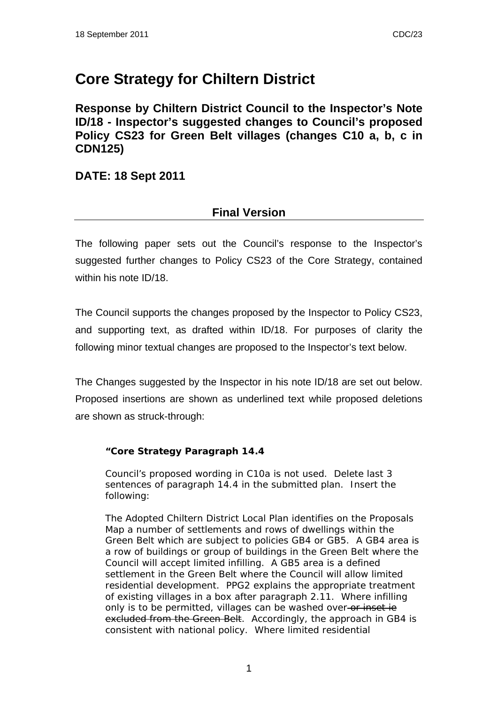## **Core Strategy for Chiltern District**

**Response by Chiltern District Council to the Inspector's Note ID/18 - Inspector's suggested changes to Council's proposed Policy CS23 for Green Belt villages (changes C10 a, b, c in CDN125)** 

**DATE: 18 Sept 2011** 

## **Final Version**

The following paper sets out the Council's response to the Inspector's suggested further changes to Policy CS23 of the Core Strategy, contained within his note ID/18.

The Council supports the changes proposed by the Inspector to Policy CS23, and supporting text, as drafted within ID/18. For purposes of clarity the following minor textual changes are proposed to the Inspector's text below.

The Changes suggested by the Inspector in his note ID/18 are set out below. Proposed insertions are shown as underlined text while proposed deletions are shown as struck-through:

## **"Core Strategy Paragraph 14.4**

Council's proposed wording in C10a is not used. Delete last 3 sentences of paragraph 14.4 in the submitted plan. Insert the following:

*The Adopted Chiltern District Local Plan identifies on the Proposals Map a number of settlements and rows of dwellings within the Green Belt which are subject to policies GB4 or GB5. A GB4 area is a row of buildings or group of buildings in the Green Belt where the Council will accept limited infilling. A GB5 area is a defined settlement in the Green Belt where the Council will allow limited residential development. PPG2 explains the appropriate treatment of existing villages in a box after paragraph 2.11. Where infilling only is to be permitted, villages can be washed over or inset ie excluded from the Green Belt. Accordingly, the approach in GB4 is consistent with national policy. Where limited residential*